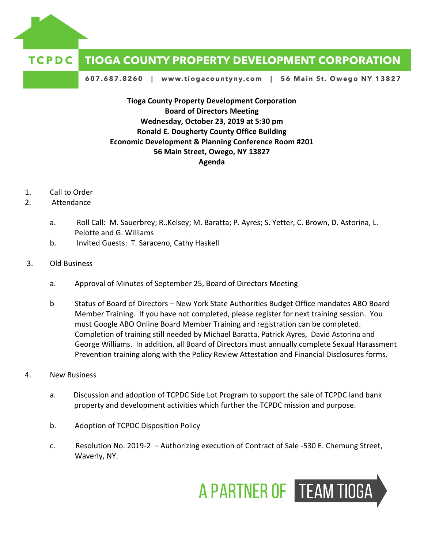

## **TCPDC TIOGA COUNTY PROPERTY DEVELOPMENT CORPORATION**

607.687.8260 | www.tiogacountyny.com | 56 Main St. Owego NY 13827

**Tioga County Property Development Corporation Board of Directors Meeting Wednesday, October 23, 2019 at 5:30 pm Ronald E. Dougherty County Office Building Economic Development & Planning Conference Room #201 56 Main Street, Owego, NY 13827 Agenda**

- 1. Call to Order
- 2. Attendance
	- a. Roll Call: M. Sauerbrey; R..Kelsey; M. Baratta; P. Ayres; S. Yetter, C. Brown, D. Astorina, L. Pelotte and G. Williams
	- b. Invited Guests: T. Saraceno, Cathy Haskell
- 3. Old Business
	- a. Approval of Minutes of September 25, Board of Directors Meeting
	- b Status of Board of Directors New York State Authorities Budget Office mandates ABO Board Member Training. If you have not completed, please register for next training session. You must Google ABO Online Board Member Training and registration can be completed. Completion of training still needed by Michael Baratta, Patrick Ayres, David Astorina and George Williams. In addition, all Board of Directors must annually complete Sexual Harassment Prevention training along with the Policy Review Attestation and Financial Disclosures forms.
- 4. New Business
	- a. Discussion and adoption of TCPDC Side Lot Program to support the sale of TCPDC land bank property and development activities which further the TCPDC mission and purpose.
	- b. Adoption of TCPDC Disposition Policy
	- c. Resolution No. 2019-2 Authorizing execution of Contract of Sale -530 E. Chemung Street, Waverly, NY.